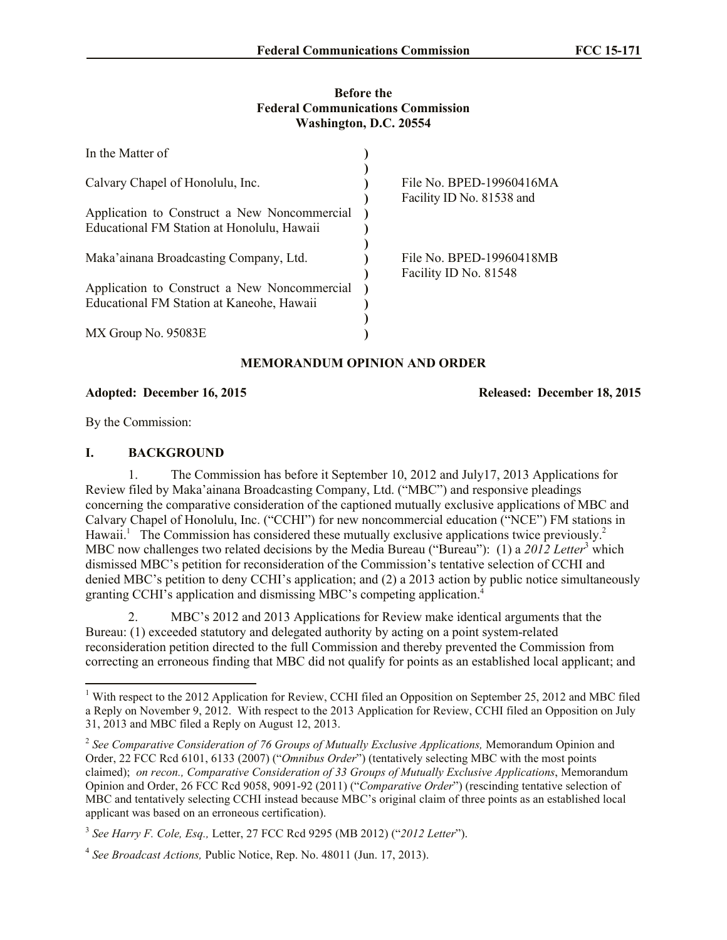#### **Before the Federal Communications Commission Washington, D.C. 20554**

| In the Matter of                             |                                                   |
|----------------------------------------------|---------------------------------------------------|
| Calvary Chapel of Honolulu, Inc.             | File No. BPED-19960416MA                          |
| Application to Construct a New Noncommercial | Facility ID No. 81538 and                         |
| Educational FM Station at Honolulu, Hawaii   |                                                   |
| Maka'ainana Broadcasting Company, Ltd.       | File No. BPED-19960418MB<br>Facility ID No. 81548 |
| Application to Construct a New Noncommercial |                                                   |
| Educational FM Station at Kaneohe, Hawaii    |                                                   |
|                                              |                                                   |
| MX Group No. 95083E                          |                                                   |

# **MEMORANDUM OPINION AND ORDER**

**Adopted: December 16, 2015 Released: December 18, 2015**

By the Commission:

l

### **I. BACKGROUND**

1. The Commission has before it September 10, 2012 and July17, 2013 Applications for Review filed by Maka'ainana Broadcasting Company, Ltd. ("MBC") and responsive pleadings concerning the comparative consideration of the captioned mutually exclusive applications of MBC and Calvary Chapel of Honolulu, Inc. ("CCHI") for new noncommercial education ("NCE") FM stations in Hawaii.<sup>1</sup> The Commission has considered these mutually exclusive applications twice previously.<sup>2</sup> MBC now challenges two related decisions by the Media Bureau ("Bureau"): (1) a 2012 Letter<sup>3</sup> which dismissed MBC's petition for reconsideration of the Commission's tentative selection of CCHI and denied MBC's petition to deny CCHI's application; and (2) a 2013 action by public notice simultaneously granting CCHI's application and dismissing MBC's competing application. 4

2. MBC's 2012 and 2013 Applications for Review make identical arguments that the Bureau: (1) exceeded statutory and delegated authority by acting on a point system-related reconsideration petition directed to the full Commission and thereby prevented the Commission from correcting an erroneous finding that MBC did not qualify for points as an established local applicant; and

<sup>&</sup>lt;sup>1</sup> With respect to the 2012 Application for Review, CCHI filed an Opposition on September 25, 2012 and MBC filed a Reply on November 9, 2012. With respect to the 2013 Application for Review, CCHI filed an Opposition on July 31, 2013 and MBC filed a Reply on August 12, 2013.

<sup>&</sup>lt;sup>2</sup> See Comparative Consideration of 76 Groups of Mutually Exclusive Applications, Memorandum Opinion and Order, 22 FCC Rcd 6101, 6133 (2007) ("*Omnibus Order*") (tentatively selecting MBC with the most points claimed); *on recon., Comparative Consideration of 33 Groups of Mutually Exclusive Applications*, Memorandum Opinion and Order, 26 FCC Rcd 9058, 9091-92 (2011) ("*Comparative Order*") (rescinding tentative selection of MBC and tentatively selecting CCHI instead because MBC's original claim of three points as an established local applicant was based on an erroneous certification).

<sup>3</sup> *See Harry F. Cole, Esq.,* Letter, 27 FCC Rcd 9295 (MB 2012) ("*2012 Letter*").

<sup>&</sup>lt;sup>4</sup> See Broadcast Actions, Public Notice, Rep. No. 48011 (Jun. 17, 2013).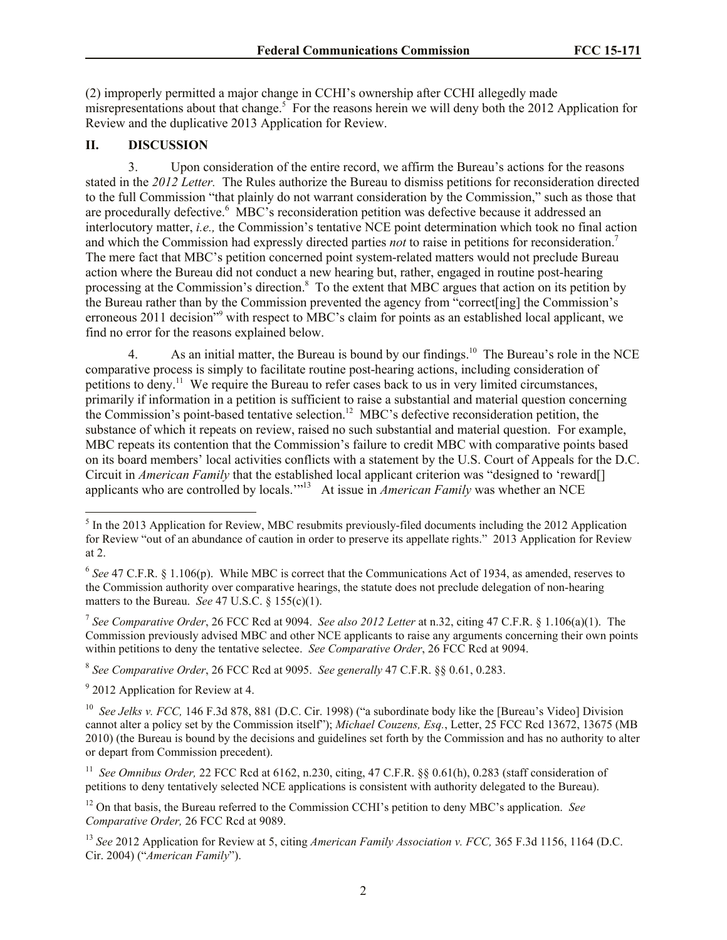(2) improperly permitted a major change in CCHI's ownership after CCHI allegedly made misrepresentations about that change.<sup>5</sup> For the reasons herein we will deny both the 2012 Application for Review and the duplicative 2013 Application for Review.

## **II. DISCUSSION**

3. Upon consideration of the entire record, we affirm the Bureau's actions for the reasons stated in the *2012 Letter.* The Rules authorize the Bureau to dismiss petitions for reconsideration directed to the full Commission "that plainly do not warrant consideration by the Commission," such as those that are procedurally defective.<sup>6</sup> MBC's reconsideration petition was defective because it addressed an interlocutory matter, *i.e.,* the Commission's tentative NCE point determination which took no final action and which the Commission had expressly directed parties *not* to raise in petitions for reconsideration.<sup>7</sup> The mere fact that MBC's petition concerned point system-related matters would not preclude Bureau action where the Bureau did not conduct a new hearing but, rather, engaged in routine post-hearing processing at the Commission's direction.<sup>8</sup> To the extent that MBC argues that action on its petition by the Bureau rather than by the Commission prevented the agency from "correct[ing] the Commission's erroneous 2011 decision<sup>"9</sup> with respect to MBC's claim for points as an established local applicant, we find no error for the reasons explained below.

4. As an initial matter, the Bureau is bound by our findings.<sup>10</sup> The Bureau's role in the NCE comparative process is simply to facilitate routine post-hearing actions, including consideration of petitions to deny.<sup>11</sup> We require the Bureau to refer cases back to us in very limited circumstances, primarily if information in a petition is sufficient to raise a substantial and material question concerning the Commission's point-based tentative selection.<sup>12</sup> MBC's defective reconsideration petition, the substance of which it repeats on review, raised no such substantial and material question. For example, MBC repeats its contention that the Commission's failure to credit MBC with comparative points based on its board members' local activities conflicts with a statement by the U.S. Court of Appeals for the D.C. Circuit in *American Family* that the established local applicant criterion was "designed to 'reward[] applicants who are controlled by locals."<sup>13</sup> At issue in *American Family* was whether an NCE

7 *See Comparative Order*, 26 FCC Rcd at 9094. *See also 2012 Letter* at n.32, citing 47 C.F.R. § 1.106(a)(1). The Commission previously advised MBC and other NCE applicants to raise any arguments concerning their own points within petitions to deny the tentative selectee. *See Comparative Order*, 26 FCC Rcd at 9094.

8 *See Comparative Order*, 26 FCC Rcd at 9095. *See generally* 47 C.F.R. §§ 0.61, 0.283.

<sup>9</sup> 2012 Application for Review at 4.

l

 $<sup>5</sup>$  In the 2013 Application for Review, MBC resubmits previously-filed documents including the 2012 Application</sup> for Review "out of an abundance of caution in order to preserve its appellate rights." 2013 Application for Review at 2.

 $6$  See 47 C.F.R. § 1.106(p). While MBC is correct that the Communications Act of 1934, as amended, reserves to the Commission authority over comparative hearings, the statute does not preclude delegation of non-hearing matters to the Bureau. *See* 47 U.S.C. § 155(c)(1).

<sup>&</sup>lt;sup>10</sup> See Jelks v. FCC, 146 F.3d 878, 881 (D.C. Cir. 1998) ("a subordinate body like the [Bureau's Video] Division cannot alter a policy set by the Commission itself"); *Michael Couzens, Esq.*, Letter, 25 FCC Rcd 13672, 13675 (MB 2010) (the Bureau is bound by the decisions and guidelines set forth by the Commission and has no authority to alter or depart from Commission precedent).

<sup>&</sup>lt;sup>11</sup> See Omnibus Order, 22 FCC Rcd at 6162, n.230, citing, 47 C.F.R. §§ 0.61(h), 0.283 (staff consideration of petitions to deny tentatively selected NCE applications is consistent with authority delegated to the Bureau).

<sup>12</sup> On that basis, the Bureau referred to the Commission CCHI's petition to deny MBC's application. *See Comparative Order,* 26 FCC Rcd at 9089.

<sup>13</sup> *See* 2012 Application for Review at 5, citing *American Family Association v. FCC,* 365 F.3d 1156, 1164 (D.C. Cir. 2004) ("*American Family*").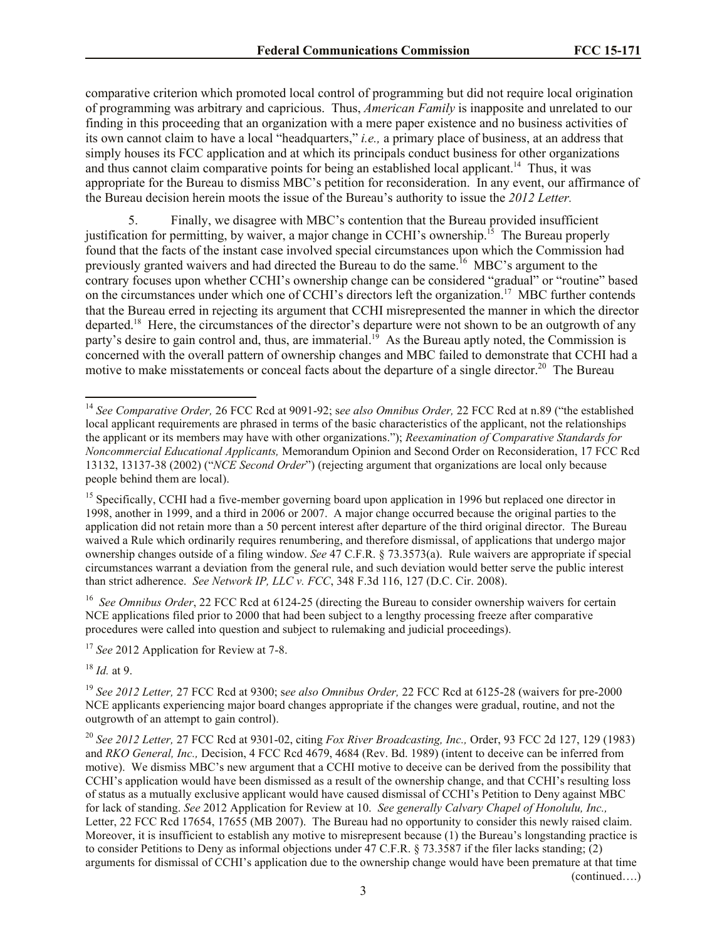comparative criterion which promoted local control of programming but did not require local origination of programming was arbitrary and capricious. Thus, *American Family* is inapposite and unrelated to our finding in this proceeding that an organization with a mere paper existence and no business activities of its own cannot claim to have a local "headquarters," *i.e.,* a primary place of business, at an address that simply houses its FCC application and at which its principals conduct business for other organizations and thus cannot claim comparative points for being an established local applicant.<sup>14</sup> Thus, it was appropriate for the Bureau to dismiss MBC's petition for reconsideration. In any event, our affirmance of the Bureau decision herein moots the issue of the Bureau's authority to issue the *2012 Letter.*

5. Finally, we disagree with MBC's contention that the Bureau provided insufficient justification for permitting, by waiver, a major change in CCHI's ownership.<sup>15</sup> The Bureau properly found that the facts of the instant case involved special circumstances upon which the Commission had previously granted waivers and had directed the Bureau to do the same.<sup>16</sup> MBC's argument to the contrary focuses upon whether CCHI's ownership change can be considered "gradual" or "routine" based on the circumstances under which one of CCHI's directors left the organization.<sup>17</sup> MBC further contends that the Bureau erred in rejecting its argument that CCHI misrepresented the manner in which the director departed.<sup>18</sup> Here, the circumstances of the director's departure were not shown to be an outgrowth of any party's desire to gain control and, thus, are immaterial.<sup>19</sup> As the Bureau aptly noted, the Commission is concerned with the overall pattern of ownership changes and MBC failed to demonstrate that CCHI had a motive to make misstatements or conceal facts about the departure of a single director.<sup>20</sup> The Bureau

<sup>16</sup> See Omnibus Order, 22 FCC Rcd at 6124-25 (directing the Bureau to consider ownership waivers for certain NCE applications filed prior to 2000 that had been subject to a lengthy processing freeze after comparative procedures were called into question and subject to rulemaking and judicial proceedings).

<sup>17</sup> *See* 2012 Application for Review at 7-8.

<sup>18</sup> *Id.* at 9.

l

<sup>19</sup> *See 2012 Letter,* 27 FCC Rcd at 9300; s*ee also Omnibus Order,* 22 FCC Rcd at 6125-28 (waivers for pre-2000 NCE applicants experiencing major board changes appropriate if the changes were gradual, routine, and not the outgrowth of an attempt to gain control).

<sup>20</sup> *See 2012 Letter,* 27 FCC Rcd at 9301-02, citing *Fox River Broadcasting, Inc.,* Order, 93 FCC 2d 127, 129 (1983) and *RKO General, Inc.,* Decision, 4 FCC Rcd 4679, 4684 (Rev. Bd. 1989) (intent to deceive can be inferred from motive). We dismiss MBC's new argument that a CCHI motive to deceive can be derived from the possibility that CCHI's application would have been dismissed as a result of the ownership change, and that CCHI's resulting loss of status as a mutually exclusive applicant would have caused dismissal of CCHI's Petition to Deny against MBC for lack of standing. *See* 2012 Application for Review at 10. *See generally Calvary Chapel of Honolulu, Inc.,* Letter, 22 FCC Rcd 17654, 17655 (MB 2007). The Bureau had no opportunity to consider this newly raised claim. Moreover, it is insufficient to establish any motive to misrepresent because (1) the Bureau's longstanding practice is to consider Petitions to Deny as informal objections under 47 C.F.R. § 73.3587 if the filer lacks standing; (2) arguments for dismissal of CCHI's application due to the ownership change would have been premature at that time (continued….)

<sup>14</sup> *See Comparative Order,* 26 FCC Rcd at 9091-92; s*ee also Omnibus Order,* 22 FCC Rcd at n.89 ("the established local applicant requirements are phrased in terms of the basic characteristics of the applicant, not the relationships the applicant or its members may have with other organizations."); *Reexamination of Comparative Standards for Noncommercial Educational Applicants,* Memorandum Opinion and Second Order on Reconsideration, 17 FCC Rcd 13132, 13137-38 (2002) ("*NCE Second Order*") (rejecting argument that organizations are local only because people behind them are local).

<sup>&</sup>lt;sup>15</sup> Specifically, CCHI had a five-member governing board upon application in 1996 but replaced one director in 1998, another in 1999, and a third in 2006 or 2007. A major change occurred because the original parties to the application did not retain more than a 50 percent interest after departure of the third original director. The Bureau waived a Rule which ordinarily requires renumbering, and therefore dismissal, of applications that undergo major ownership changes outside of a filing window. *See* 47 C.F.R. § 73.3573(a). Rule waivers are appropriate if special circumstances warrant a deviation from the general rule, and such deviation would better serve the public interest than strict adherence. *See Network IP, LLC v. FCC*, 348 F.3d 116, 127 (D.C. Cir. 2008).